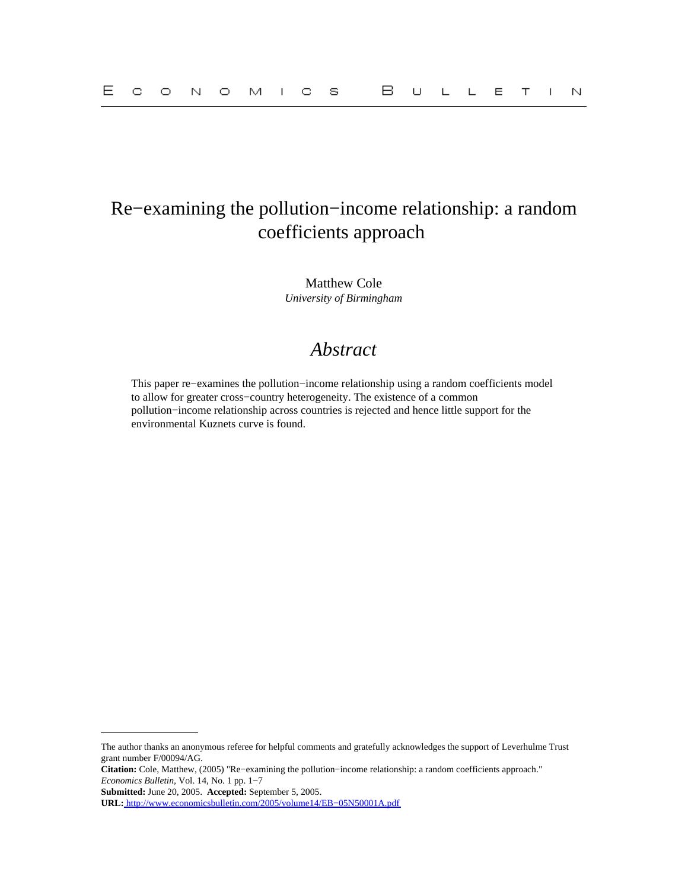# Re−examining the pollution−income relationship: a random coefficients approach

Matthew Cole *University of Birmingham*

## *Abstract*

This paper re−examines the pollution−income relationship using a random coefficients model to allow for greater cross−country heterogeneity. The existence of a common pollution−income relationship across countries is rejected and hence little support for the environmental Kuznets curve is found.

The author thanks an anonymous referee for helpful comments and gratefully acknowledges the support of Leverhulme Trust grant number F/00094/AG.

**Citation:** Cole, Matthew, (2005) "Re−examining the pollution−income relationship: a random coefficients approach." *Economics Bulletin,* Vol. 14, No. 1 pp. 1−7

**Submitted:** June 20, 2005. **Accepted:** September 5, 2005.

**URL:** [http://www.economicsbulletin.com/2005/volume14/EB−05N50001A.pdf](http://www.economicsbulletin.com/2005/volume14/EB-05N50001A.pdf)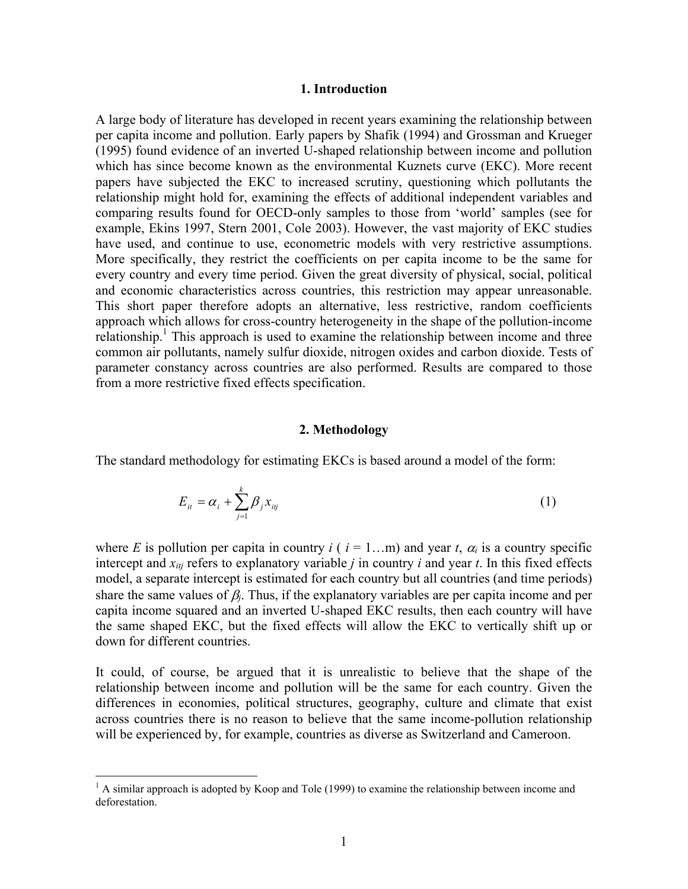## **1. Introduction**

A large body of literature has developed in recent years examining the relationship between per capita income and pollution. Early papers by Shafik (1994) and Grossman and Krueger (1995) found evidence of an inverted U-shaped relationship between income and pollution which has since become known as the environmental Kuznets curve (EKC). More recent papers have subjected the EKC to increased scrutiny, questioning which pollutants the relationship might hold for, examining the effects of additional independent variables and comparing results found for OECD-only samples to those from 'world' samples (see for example, Ekins 1997, Stern 2001, Cole 2003). However, the vast majority of EKC studies have used, and continue to use, econometric models with very restrictive assumptions. More specifically, they restrict the coefficients on per capita income to be the same for every country and every time period. Given the great diversity of physical, social, political and economic characteristics across countries, this restriction may appear unreasonable. This short paper therefore adopts an alternative, less restrictive, random coefficients approach which allows for cross-country heterogeneity in the shape of the pollution-income relationship.<sup>1</sup> This approach is used to examine the relationship between income and three common air pollutants, namely sulfur dioxide, nitrogen oxides and carbon dioxide. Tests of parameter constancy across countries are also performed. Results are compared to those from a more restrictive fixed effects specification.

## **2. Methodology**

The standard methodology for estimating EKCs is based around a model of the form:

$$
E_{it} = \alpha_i + \sum_{j=1}^{k} \beta_j x_{ij}
$$
 (1)

where *E* is pollution per capita in country *i* ( $i = 1...m$ ) and year *t*,  $\alpha_i$  is a country specific intercept and  $x_{itj}$  refers to explanatory variable *j* in country *i* and year *t*. In this fixed effects model, a separate intercept is estimated for each country but all countries (and time periods) share the same values of  $\beta_i$ . Thus, if the explanatory variables are per capita income and per capita income squared and an inverted U-shaped EKC results, then each country will have the same shaped EKC, but the fixed effects will allow the EKC to vertically shift up or down for different countries.

It could, of course, be argued that it is unrealistic to believe that the shape of the relationship between income and pollution will be the same for each country. Given the differences in economies, political structures, geography, culture and climate that exist across countries there is no reason to believe that the same income-pollution relationship will be experienced by, for example, countries as diverse as Switzerland and Cameroon.

<sup>&</sup>lt;sup>1</sup> A similar approach is adopted by Koop and Tole (1999) to examine the relationship between income and deforestation.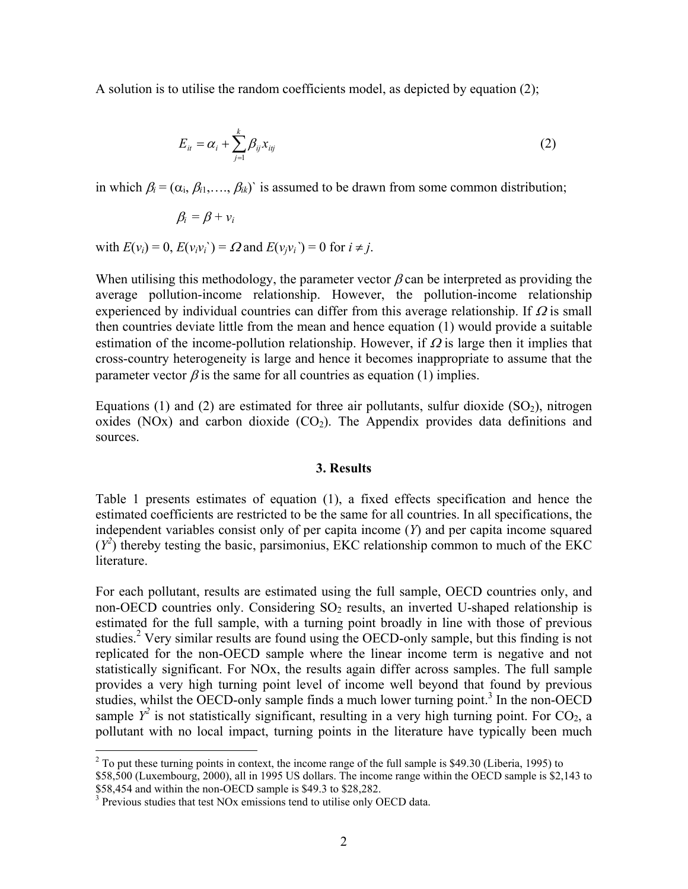A solution is to utilise the random coefficients model, as depicted by equation (2);

$$
E_{it} = \alpha_i + \sum_{j=1}^{k} \beta_{ij} x_{itj} \tag{2}
$$

in which  $\beta_i = (\alpha_i, \beta_i, \dots, \beta_i)$  is assumed to be drawn from some common distribution;

$$
\beta_i = \beta + \nu_i
$$

with  $E(v_i) = 0$ ,  $E(v_i v_i) = \Omega$  and  $E(v_i v_i) = 0$  for  $i \neq j$ .

When utilising this methodology, the parameter vector  $\beta$  can be interpreted as providing the average pollution-income relationship. However, the pollution-income relationship experienced by individual countries can differ from this average relationship. If  $\Omega$  is small then countries deviate little from the mean and hence equation (1) would provide a suitable estimation of the income-pollution relationship. However, if  $\Omega$  is large then it implies that cross-country heterogeneity is large and hence it becomes inappropriate to assume that the parameter vector  $\beta$  is the same for all countries as equation (1) implies.

Equations (1) and (2) are estimated for three air pollutants, sulfur dioxide  $(SO<sub>2</sub>)$ , nitrogen oxides (NOx) and carbon dioxide  $(CO<sub>2</sub>)$ . The Appendix provides data definitions and sources.

#### **3. Results**

Table 1 presents estimates of equation (1), a fixed effects specification and hence the estimated coefficients are restricted to be the same for all countries. In all specifications, the independent variables consist only of per capita income (*Y*) and per capita income squared  $(Y^2)$  thereby testing the basic, parsimonius, EKC relationship common to much of the EKC literature.

For each pollutant, results are estimated using the full sample, OECD countries only, and non-OECD countries only. Considering  $SO<sub>2</sub>$  results, an inverted U-shaped relationship is estimated for the full sample, with a turning point broadly in line with those of previous studies.<sup>2</sup> Very similar results are found using the OECD-only sample, but this finding is not replicated for the non-OECD sample where the linear income term is negative and not statistically significant. For NOx, the results again differ across samples. The full sample provides a very high turning point level of income well beyond that found by previous studies, whilst the OECD-only sample finds a much lower turning point.<sup>3</sup> In the non-OECD sample  $Y^2$  is not statistically significant, resulting in a very high turning point. For CO<sub>2</sub>, a pollutant with no local impact, turning points in the literature have typically been much

1

 $2^2$  To put these turning points in context, the income range of the full sample is \$49.30 (Liberia, 1995) to

<sup>\$58,500 (</sup>Luxembourg, 2000), all in 1995 US dollars. The income range within the OECD sample is \$2,143 to \$58,454 and within the non-OECD sample is \$49.3 to \$28,282.

<sup>&</sup>lt;sup>3</sup> Previous studies that test NOx emissions tend to utilise only OECD data.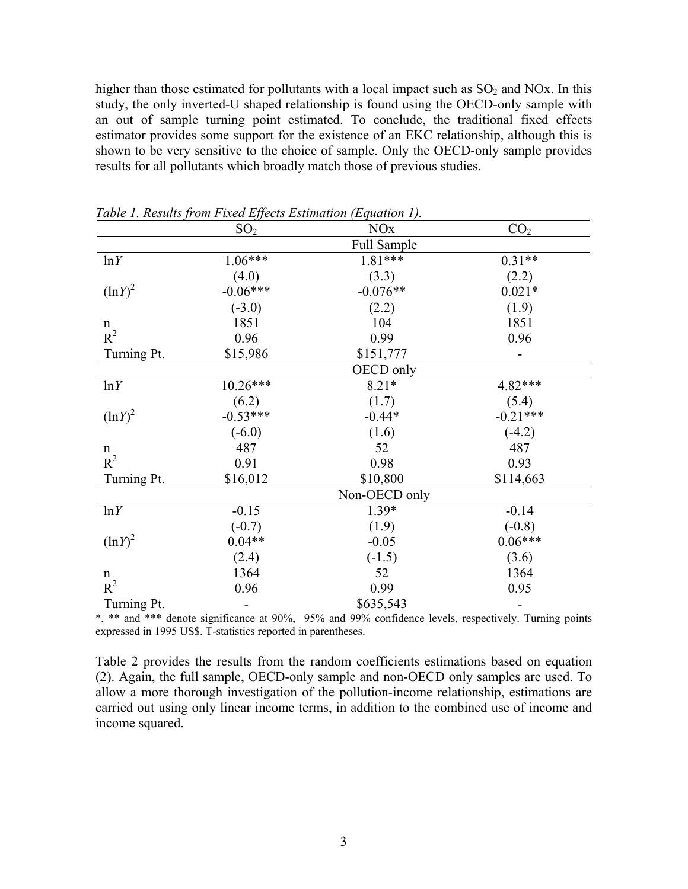higher than those estimated for pollutants with a local impact such as  $SO_2$  and NOx. In this study, the only inverted-U shaped relationship is found using the OECD-only sample with an out of sample turning point estimated. To conclude, the traditional fixed effects estimator provides some support for the existence of an EKC relationship, although this is shown to be very sensitive to the choice of sample. Only the OECD-only sample provides results for all pollutants which broadly match those of previous studies.

|             | SO <sub>2</sub> | <b>NO<sub>x</sub></b><br>CO <sub>2</sub> |            |  |  |
|-------------|-----------------|------------------------------------------|------------|--|--|
|             |                 | Full Sample                              |            |  |  |
| ln Y        | 1.06***         | $1.81***$<br>$0.31**$                    |            |  |  |
|             | (4.0)           | (3.3)                                    | (2.2)      |  |  |
| $(lnY)^2$   | $-0.06***$      | $-0.076**$<br>$0.021*$                   |            |  |  |
|             | $(-3.0)$        | (2.2)                                    | (1.9)      |  |  |
| n           | 1851            | 104                                      | 1851       |  |  |
| $R^2$       | 0.96            | 0.99                                     | 0.96       |  |  |
| Turning Pt. | \$15,986        | \$151,777                                |            |  |  |
|             |                 | OECD only                                |            |  |  |
| ln Y        | 10.26***        | $8.21*$                                  | 4.82***    |  |  |
|             | (6.2)           | (1.7)                                    | (5.4)      |  |  |
| $(lnY)^2$   | $-0.53***$      | $-0.44*$                                 | $-0.21***$ |  |  |
|             | $(-6.0)$        | (1.6)                                    | $(-4.2)$   |  |  |
| n           | 487             | 52                                       | 487        |  |  |
| $R^2$       | 0.91            | 0.98                                     | 0.93       |  |  |
| Turning Pt. | \$16,012        | \$10,800                                 | \$114,663  |  |  |
|             |                 | Non-OECD only                            |            |  |  |
| ln Y        | $-0.15$         | $1.39*$                                  | $-0.14$    |  |  |
|             | $(-0.7)$        | (1.9)                                    | $(-0.8)$   |  |  |
| $(lnY)^2$   | $0.04**$        | $-0.05$                                  | $0.06***$  |  |  |
|             | (2.4)           | $(-1.5)$                                 | (3.6)      |  |  |
| n           | 1364            | 52                                       | 1364       |  |  |
| $R^2$       | 0.96            | 0.99                                     | 0.95       |  |  |
| Turning Pt. |                 | \$635,543                                |            |  |  |

*Table 1. Results from Fixed Effects Estimation (Equation 1).* 

 $\overline{\ast}$ ,  $\overline{\ast}$  and  $\overline{\ast}$  are significance at 90%, 95% and 99% confidence levels, respectively. Turning points expressed in 1995 US\$. T-statistics reported in parentheses.

Table 2 provides the results from the random coefficients estimations based on equation (2). Again, the full sample, OECD-only sample and non-OECD only samples are used. To allow a more thorough investigation of the pollution-income relationship, estimations are carried out using only linear income terms, in addition to the combined use of income and income squared.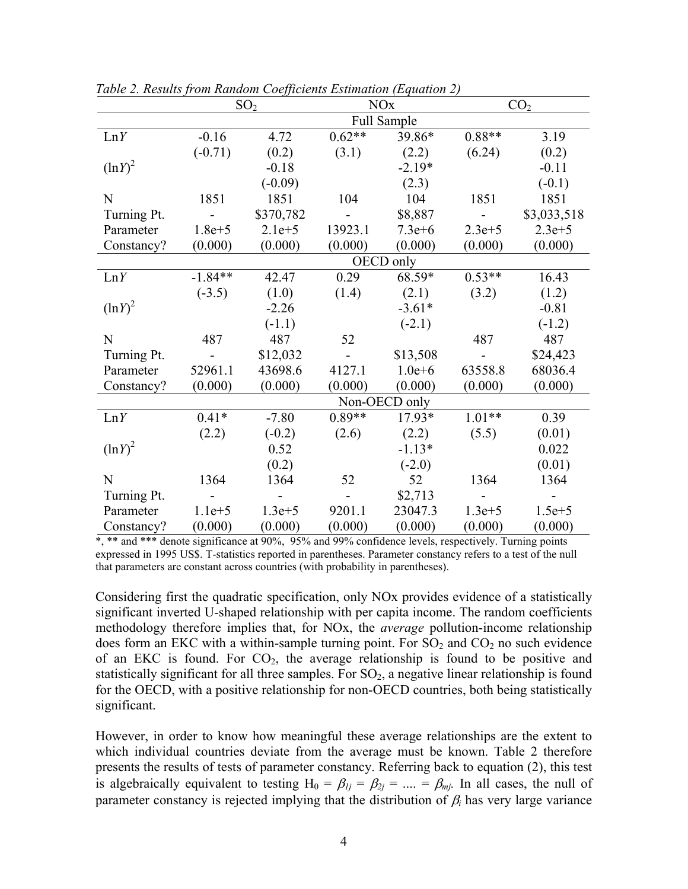|             | SO <sub>2</sub> |            | <b>NO<sub>x</sub></b> |               | CO <sub>2</sub> |             |
|-------------|-----------------|------------|-----------------------|---------------|-----------------|-------------|
|             | Full Sample     |            |                       |               |                 |             |
| LnY         | $-0.16$         | 4.72       | $0.62**$              | 39.86*        | $0.88**$        | 3.19        |
|             | $(-0.71)$       | (0.2)      | (3.1)                 | (2.2)         | (6.24)          | (0.2)       |
| $(\ln Y)^2$ |                 | $-0.18$    |                       | $-2.19*$      |                 | $-0.11$     |
|             |                 | $(-0.09)$  |                       | (2.3)         |                 | $(-0.1)$    |
| N           | 1851            | 1851       | 104                   | 104           | 1851            | 1851        |
| Turning Pt. |                 | \$370,782  |                       | \$8,887       |                 | \$3,033,518 |
| Parameter   | $1.8e + 5$      | $2.1e+5$   | 13923.1               | $7.3e + 6$    | $2.3e + 5$      | $2.3e + 5$  |
| Constancy?  | (0.000)         | (0.000)    | (0.000)               | (0.000)       | (0.000)         | (0.000)     |
|             |                 |            |                       | OECD only     |                 |             |
| LnY         | $-1.84**$       | 42.47      | 0.29                  | 68.59*        | $0.53**$        | 16.43       |
|             | $(-3.5)$        | (1.0)      | (1.4)                 | (2.1)         | (3.2)           | (1.2)       |
| $(lnY)^2$   |                 | $-2.26$    |                       | $-3.61*$      |                 | $-0.81$     |
|             |                 | $(-1.1)$   |                       | $(-2.1)$      |                 | $(-1.2)$    |
| $\mathbf N$ | 487             | 487        | 52                    |               | 487             | 487         |
| Turning Pt. |                 | \$12,032   |                       | \$13,508      |                 | \$24,423    |
| Parameter   | 52961.1         | 43698.6    | 4127.1                | $1.0e + 6$    | 63558.8         | 68036.4     |
| Constancy?  | (0.000)         | (0.000)    | (0.000)               | (0.000)       | (0.000)         | (0.000)     |
|             |                 |            |                       | Non-OECD only |                 |             |
| LnY         | $0.41*$         | $-7.80$    | $0.89**$              | 17.93*        | $1.01**$        | 0.39        |
|             | (2.2)           | $(-0.2)$   | (2.6)                 | (2.2)         | (5.5)           | (0.01)      |
| $(lnY)^2$   |                 | 0.52       |                       | $-1.13*$      |                 | 0.022       |
|             |                 | (0.2)      |                       | $(-2.0)$      |                 | (0.01)      |
| $\mathbf N$ | 1364            | 1364       | 52                    | 52            | 1364            | 1364        |
| Turning Pt. |                 |            |                       | \$2,713       |                 |             |
| Parameter   | $1.1e + 5$      | $1.3e + 5$ | 9201.1                | 23047.3       | $1.3e + 5$      | $1.5e + 5$  |
| Constancy?  | (0.000)         | (0.000)    | (0.000)               | (0.000)       | (0.000)         | (0.000)     |

*Table 2. Results from Random Coefficients Estimation (Equation 2)* 

\*, \*\* and \*\*\* denote significance at 90%, 95% and 99% confidence levels, respectively. Turning points expressed in 1995 US\$. T-statistics reported in parentheses. Parameter constancy refers to a test of the null that parameters are constant across countries (with probability in parentheses).

Considering first the quadratic specification, only NOx provides evidence of a statistically significant inverted U-shaped relationship with per capita income. The random coefficients methodology therefore implies that, for NOx, the *average* pollution-income relationship does form an EKC with a within-sample turning point. For  $SO<sub>2</sub>$  and  $CO<sub>2</sub>$  no such evidence of an EKC is found. For  $CO<sub>2</sub>$ , the average relationship is found to be positive and statistically significant for all three samples. For  $SO<sub>2</sub>$ , a negative linear relationship is found for the OECD, with a positive relationship for non-OECD countries, both being statistically significant.

However, in order to know how meaningful these average relationships are the extent to which individual countries deviate from the average must be known. Table 2 therefore presents the results of tests of parameter constancy. Referring back to equation (2), this test is algebraically equivalent to testing  $H_0 = \beta_{1j} = \beta_{2j} = ... = \beta_{mj}$ . In all cases, the null of parameter constancy is rejected implying that the distribution of  $\beta_i$  has very large variance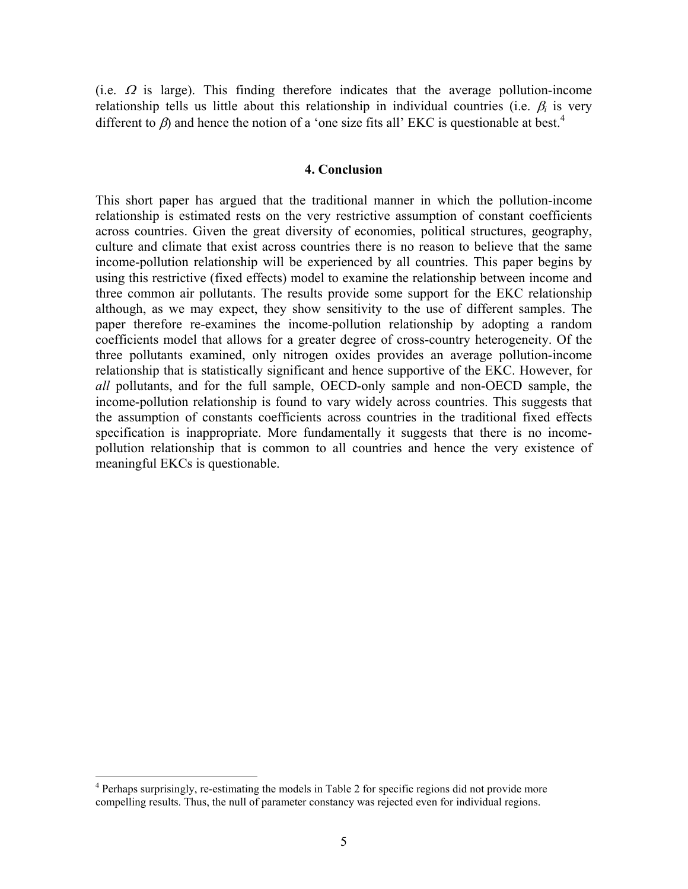(i.e.  $\Omega$  is large). This finding therefore indicates that the average pollution-income relationship tells us little about this relationship in individual countries (i.e.  $\beta_i$  is very different to  $\beta$ ) and hence the notion of a 'one size fits all' EKC is questionable at best.<sup>4</sup>

## **4. Conclusion**

This short paper has argued that the traditional manner in which the pollution-income relationship is estimated rests on the very restrictive assumption of constant coefficients across countries. Given the great diversity of economies, political structures, geography, culture and climate that exist across countries there is no reason to believe that the same income-pollution relationship will be experienced by all countries. This paper begins by using this restrictive (fixed effects) model to examine the relationship between income and three common air pollutants. The results provide some support for the EKC relationship although, as we may expect, they show sensitivity to the use of different samples. The paper therefore re-examines the income-pollution relationship by adopting a random coefficients model that allows for a greater degree of cross-country heterogeneity. Of the three pollutants examined, only nitrogen oxides provides an average pollution-income relationship that is statistically significant and hence supportive of the EKC. However, for *all* pollutants, and for the full sample, OECD-only sample and non-OECD sample, the income-pollution relationship is found to vary widely across countries. This suggests that the assumption of constants coefficients across countries in the traditional fixed effects specification is inappropriate. More fundamentally it suggests that there is no incomepollution relationship that is common to all countries and hence the very existence of meaningful EKCs is questionable.

1

<sup>&</sup>lt;sup>4</sup> Perhaps surprisingly, re-estimating the models in Table 2 for specific regions did not provide more compelling results. Thus, the null of parameter constancy was rejected even for individual regions.